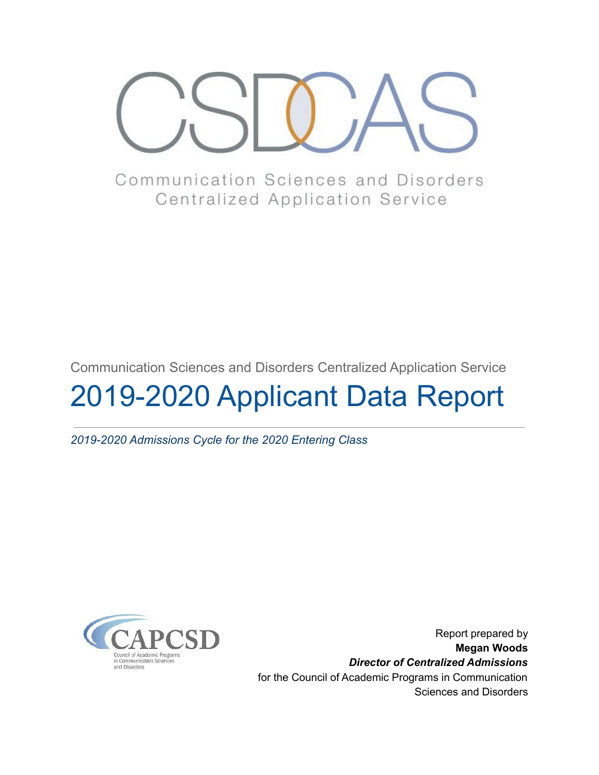

Communication Sciences and Disorders **Centralized Application Service** 

Communication Sciences and Disorders Centralized Application Service

# 2019-2020 Applicant Data Report

*2019-2020 Admissions Cycle for the 2020 Entering Class*



Report prepared by **Megan Woods** *Director of Centralized Admissions* for the Council of Academic Programs in Communication Sciences and Disorders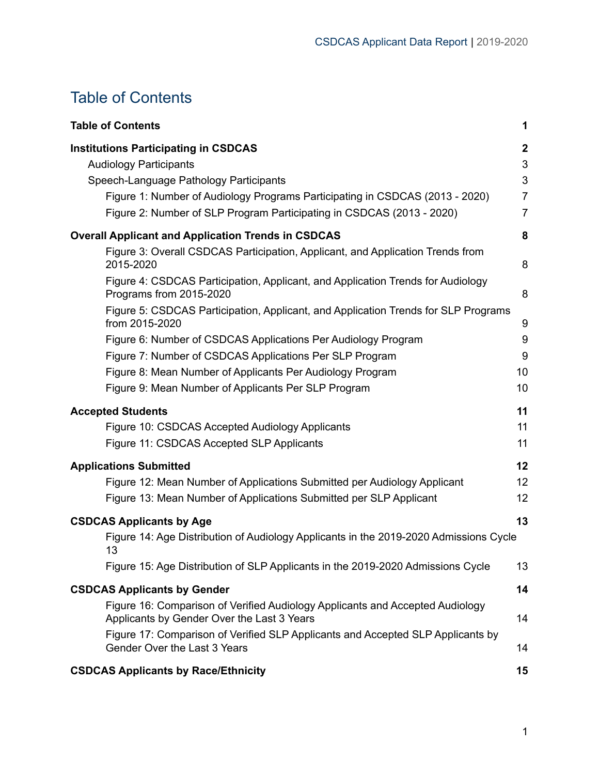# <span id="page-1-0"></span>Table of Contents

| <b>Table of Contents</b>                                                                                                                                                                                                                                                        | 1                                                              |
|---------------------------------------------------------------------------------------------------------------------------------------------------------------------------------------------------------------------------------------------------------------------------------|----------------------------------------------------------------|
| <b>Institutions Participating in CSDCAS</b><br><b>Audiology Participants</b><br>Speech-Language Pathology Participants<br>Figure 1: Number of Audiology Programs Participating in CSDCAS (2013 - 2020)<br>Figure 2: Number of SLP Program Participating in CSDCAS (2013 - 2020) | $\boldsymbol{2}$<br>3<br>3<br>$\overline{7}$<br>$\overline{7}$ |
| <b>Overall Applicant and Application Trends in CSDCAS</b>                                                                                                                                                                                                                       | 8                                                              |
| Figure 3: Overall CSDCAS Participation, Applicant, and Application Trends from<br>2015-2020                                                                                                                                                                                     | 8                                                              |
| Figure 4: CSDCAS Participation, Applicant, and Application Trends for Audiology<br>Programs from 2015-2020<br>Figure 5: CSDCAS Participation, Applicant, and Application Trends for SLP Programs                                                                                | 8                                                              |
| from 2015-2020                                                                                                                                                                                                                                                                  | 9                                                              |
| Figure 6: Number of CSDCAS Applications Per Audiology Program                                                                                                                                                                                                                   | $9\,$                                                          |
| Figure 7: Number of CSDCAS Applications Per SLP Program                                                                                                                                                                                                                         | 9                                                              |
| Figure 8: Mean Number of Applicants Per Audiology Program                                                                                                                                                                                                                       | 10                                                             |
| Figure 9: Mean Number of Applicants Per SLP Program                                                                                                                                                                                                                             | 10                                                             |
| <b>Accepted Students</b>                                                                                                                                                                                                                                                        | 11                                                             |
| Figure 10: CSDCAS Accepted Audiology Applicants                                                                                                                                                                                                                                 | 11                                                             |
| Figure 11: CSDCAS Accepted SLP Applicants                                                                                                                                                                                                                                       | 11                                                             |
| <b>Applications Submitted</b>                                                                                                                                                                                                                                                   | 12                                                             |
| Figure 12: Mean Number of Applications Submitted per Audiology Applicant                                                                                                                                                                                                        | 12                                                             |
| Figure 13: Mean Number of Applications Submitted per SLP Applicant                                                                                                                                                                                                              | 12                                                             |
| <b>CSDCAS Applicants by Age</b>                                                                                                                                                                                                                                                 | 13                                                             |
| Figure 14: Age Distribution of Audiology Applicants in the 2019-2020 Admissions Cycle<br>13                                                                                                                                                                                     |                                                                |
| Figure 15: Age Distribution of SLP Applicants in the 2019-2020 Admissions Cycle                                                                                                                                                                                                 | 13                                                             |
| <b>CSDCAS Applicants by Gender</b>                                                                                                                                                                                                                                              | 14                                                             |
| Figure 16: Comparison of Verified Audiology Applicants and Accepted Audiology<br>Applicants by Gender Over the Last 3 Years                                                                                                                                                     | 14                                                             |
| Figure 17: Comparison of Verified SLP Applicants and Accepted SLP Applicants by<br>Gender Over the Last 3 Years                                                                                                                                                                 | 14                                                             |
| <b>CSDCAS Applicants by Race/Ethnicity</b>                                                                                                                                                                                                                                      | 15                                                             |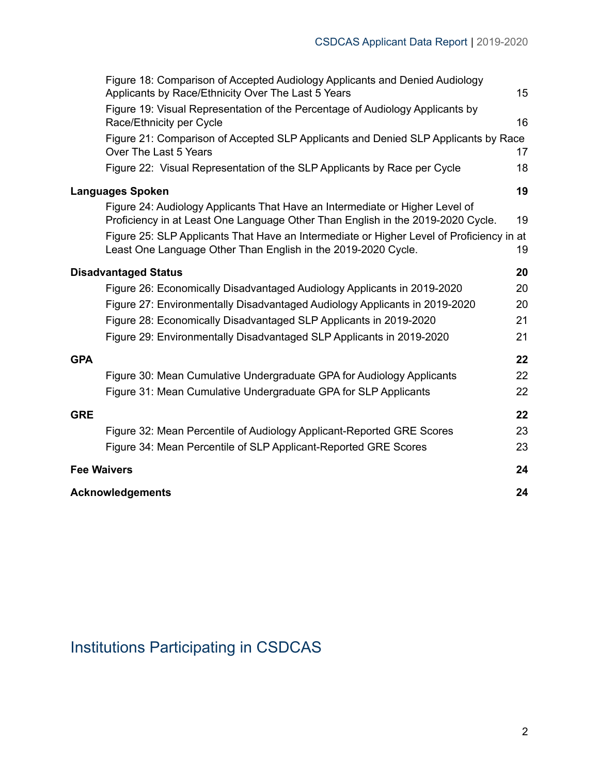| Figure 18: Comparison of Accepted Audiology Applicants and Denied Audiology<br>Applicants by Race/Ethnicity Over The Last 5 Years                                                                                                                           | 15 |
|-------------------------------------------------------------------------------------------------------------------------------------------------------------------------------------------------------------------------------------------------------------|----|
| Figure 19: Visual Representation of the Percentage of Audiology Applicants by<br>Race/Ethnicity per Cycle                                                                                                                                                   | 16 |
| Figure 21: Comparison of Accepted SLP Applicants and Denied SLP Applicants by Race<br>Over The Last 5 Years                                                                                                                                                 | 17 |
| Figure 22: Visual Representation of the SLP Applicants by Race per Cycle                                                                                                                                                                                    | 18 |
| <b>Languages Spoken</b>                                                                                                                                                                                                                                     | 19 |
| Figure 24: Audiology Applicants That Have an Intermediate or Higher Level of<br>Proficiency in at Least One Language Other Than English in the 2019-2020 Cycle.<br>Figure 25: SLP Applicants That Have an Intermediate or Higher Level of Proficiency in at | 19 |
| Least One Language Other Than English in the 2019-2020 Cycle.                                                                                                                                                                                               | 19 |
| <b>Disadvantaged Status</b>                                                                                                                                                                                                                                 | 20 |
| Figure 26: Economically Disadvantaged Audiology Applicants in 2019-2020                                                                                                                                                                                     | 20 |
| Figure 27: Environmentally Disadvantaged Audiology Applicants in 2019-2020                                                                                                                                                                                  | 20 |
| Figure 28: Economically Disadvantaged SLP Applicants in 2019-2020                                                                                                                                                                                           | 21 |
| Figure 29: Environmentally Disadvantaged SLP Applicants in 2019-2020                                                                                                                                                                                        | 21 |
| <b>GPA</b>                                                                                                                                                                                                                                                  | 22 |
| Figure 30: Mean Cumulative Undergraduate GPA for Audiology Applicants                                                                                                                                                                                       | 22 |
| Figure 31: Mean Cumulative Undergraduate GPA for SLP Applicants                                                                                                                                                                                             | 22 |
| <b>GRE</b>                                                                                                                                                                                                                                                  | 22 |
| Figure 32: Mean Percentile of Audiology Applicant-Reported GRE Scores                                                                                                                                                                                       | 23 |
| Figure 34: Mean Percentile of SLP Applicant-Reported GRE Scores                                                                                                                                                                                             | 23 |
| <b>Fee Waivers</b>                                                                                                                                                                                                                                          | 24 |
| <b>Acknowledgements</b>                                                                                                                                                                                                                                     | 24 |

# <span id="page-2-0"></span>Institutions Participating in CSDCAS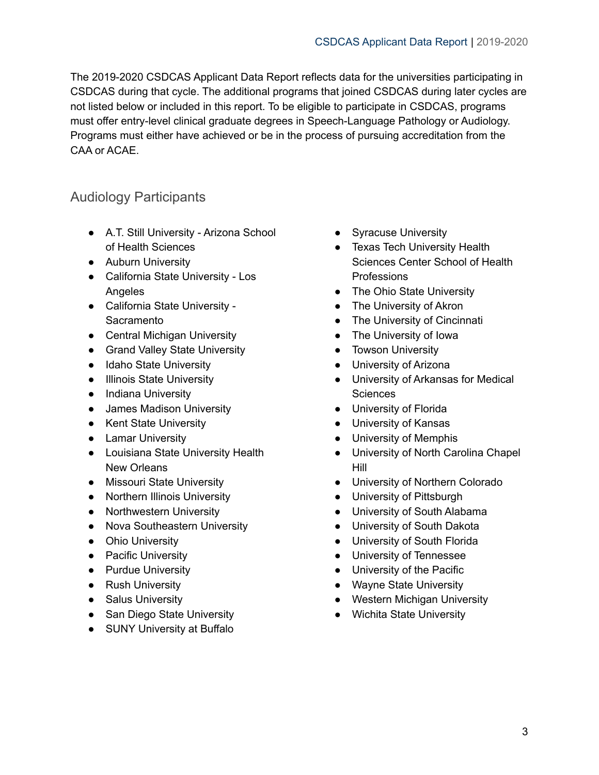The 2019-2020 CSDCAS Applicant Data Report reflects data for the universities participating in CSDCAS during that cycle. The additional programs that joined CSDCAS during later cycles are not listed below or included in this report. To be eligible to participate in CSDCAS, programs must offer entry-level clinical graduate degrees in Speech-Language Pathology or Audiology. Programs must either have achieved or be in the process of pursuing accreditation from the CAA or ACAE.

### <span id="page-3-0"></span>Audiology Participants

- A.T. Still University Arizona School of Health Sciences
- Auburn University
- California State University Los Angeles
- California State University **Sacramento**
- Central Michigan University
- Grand Valley State University
- Idaho State University
- Illinois State University
- Indiana University
- James Madison University
- Kent State University
- Lamar University
- Louisiana State University Health New Orleans
- Missouri State University
- Northern Illinois University
- Northwestern University
- Nova Southeastern University
- Ohio University
- Pacific University
- Purdue University
- Rush University
- Salus University
- San Diego State University
- SUNY University at Buffalo
- Syracuse University
- Texas Tech University Health Sciences Center School of Health **Professions**
- The Ohio State University
- The University of Akron
- The University of Cincinnati
- The University of Iowa
- Towson University
- University of Arizona
- University of Arkansas for Medical **Sciences**
- University of Florida
- University of Kansas
- University of Memphis
- University of North Carolina Chapel Hill
- University of Northern Colorado
- University of Pittsburgh
- University of South Alabama
- University of South Dakota
- University of South Florida
- University of Tennessee
- University of the Pacific
- Wayne State University
- Western Michigan University
- Wichita State University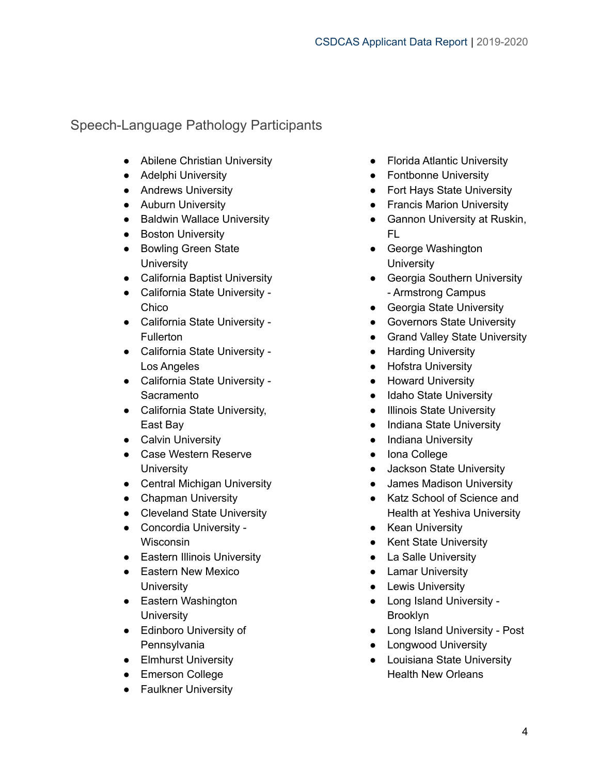### <span id="page-4-0"></span>Speech-Language Pathology Participants

- Abilene Christian University
- Adelphi University
- Andrews University
- Auburn University
- Baldwin Wallace University
- Boston University
- Bowling Green State **University**
- California Baptist University
- California State University Chico
- California State University **Fullerton**
- California State University Los Angeles
- California State University Sacramento
- California State University, East Bay
- Calvin University
- Case Western Reserve **University**
- Central Michigan University
- Chapman University
- Cleveland State University
- Concordia University Wisconsin
- Eastern Illinois University
- Eastern New Mexico **University**
- Eastern Washington **University**
- Edinboro University of Pennsylvania
- **•** Elmhurst University
- Emerson College
- Faulkner University
- Florida Atlantic University
- Fontbonne University
- Fort Hays State University
- Francis Marion University
- Gannon University at Ruskin, FL
- George Washington **University**
- Georgia Southern University - Armstrong Campus
- Georgia State University
- Governors State University
- Grand Valley State University
- Harding University
- Hofstra University
- Howard University
- Idaho State University
- Illinois State University
- Indiana State University
- Indiana University
- Iona College
- Jackson State University
- James Madison University
- Katz School of Science and Health at Yeshiva University
- Kean University
- Kent State University
- La Salle University
- Lamar University
- Lewis University
- Long Island University Brooklyn
- Long Island University Post
- Longwood University
- Louisiana State University Health New Orleans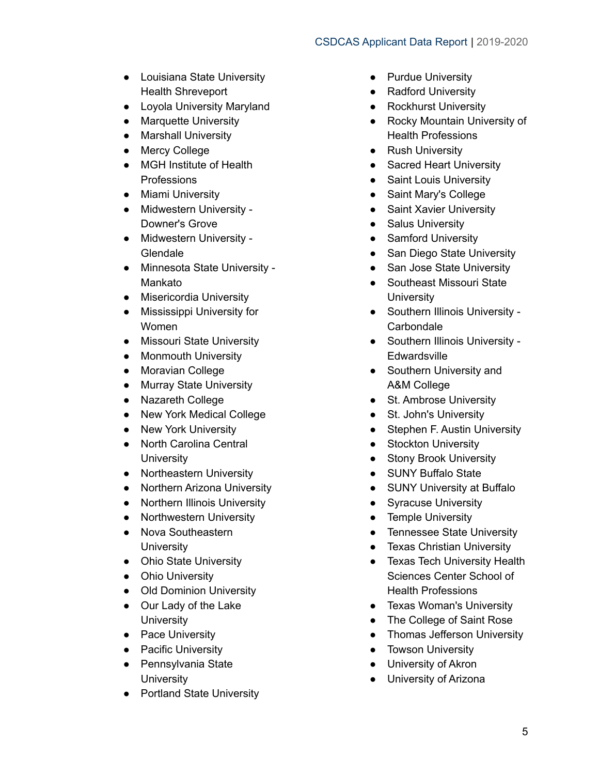- Louisiana State University Health Shreveport
- Loyola University Maryland
- Marquette University
- Marshall University
- Mercy College
- MGH Institute of Health **Professions**
- Miami University
- Midwestern University Downer's Grove
- Midwestern University **Glendale**
- Minnesota State University Mankato
- Misericordia University
- Mississippi University for Women
- Missouri State University
- Monmouth University
- Moravian College
- Murray State University
- Nazareth College
- New York Medical College
- New York University
- North Carolina Central **University**
- Northeastern University
- Northern Arizona University
- Northern Illinois University
- Northwestern University
- Nova Southeastern **University**
- Ohio State University
- Ohio University
- Old Dominion University
- Our Lady of the Lake **University**
- Pace University
- Pacific University
- Pennsylvania State **University**
- Portland State University
- Purdue University
- Radford University
- Rockhurst University
- Rocky Mountain University of Health Professions
- Rush University
- Sacred Heart University
- Saint Louis University
- Saint Mary's College
- Saint Xavier University
- Salus University
- Samford University
- San Diego State University
- San Jose State University
- Southeast Missouri State **University**
- Southern Illinois University **Carbondale**
- Southern Illinois University -**Edwardsville**
- Southern University and A&M College
- St. Ambrose University
- St. John's University
- Stephen F. Austin University
- Stockton University
- Stony Brook University
- SUNY Buffalo State
- SUNY University at Buffalo
- Syracuse University
- Temple University
- Tennessee State University
- Texas Christian University
- Texas Tech University Health Sciences Center School of Health Professions
- Texas Woman's University
- The College of Saint Rose
- Thomas Jefferson University
- **•** Towson University
- University of Akron
- University of Arizona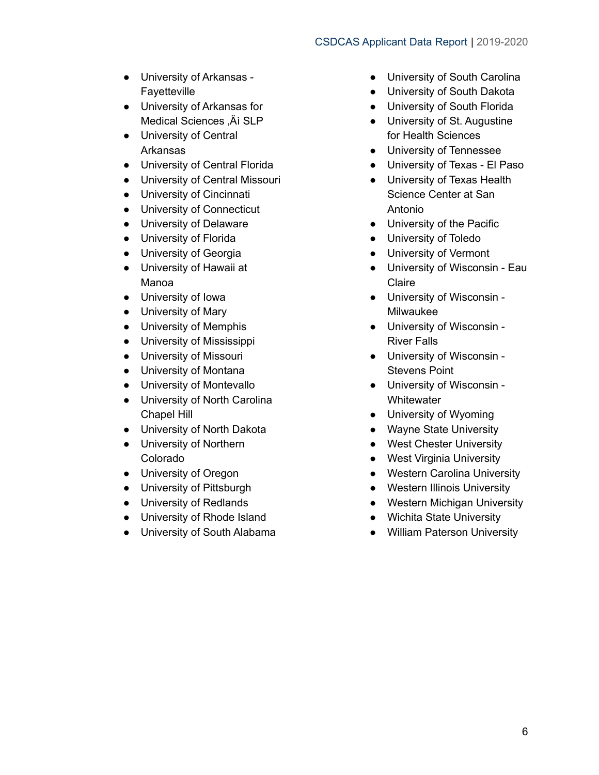#### CSDCAS Applicant Data Report | 2019-2020

- University of Arkansas Fayetteville
- University of Arkansas for Medical Sciences .Äì SLP
- University of Central Arkansas
- University of Central Florida
- University of Central Missouri
- University of Cincinnati
- University of Connecticut
- University of Delaware
- University of Florida
- University of Georgia
- University of Hawaii at Manoa
- University of Iowa
- University of Mary
- University of Memphis
- University of Mississippi
- University of Missouri
- University of Montana
- University of Montevallo
- University of North Carolina Chapel Hill
- University of North Dakota
- University of Northern Colorado
- University of Oregon
- University of Pittsburgh
- University of Redlands
- University of Rhode Island
- University of South Alabama
- University of South Carolina
- University of South Dakota
- University of South Florida
- University of St. Augustine for Health Sciences
- University of Tennessee
- University of Texas El Paso
- University of Texas Health Science Center at San Antonio
- University of the Pacific
- University of Toledo
- University of Vermont
- University of Wisconsin Eau Claire
- University of Wisconsin Milwaukee
- University of Wisconsin River Falls
- University of Wisconsin Stevens Point
- University of Wisconsin **Whitewater**
- University of Wyoming
- Wayne State University
- West Chester University
- West Virginia University
- Western Carolina University
- Western Illinois University
- Western Michigan University
- Wichita State University
- William Paterson University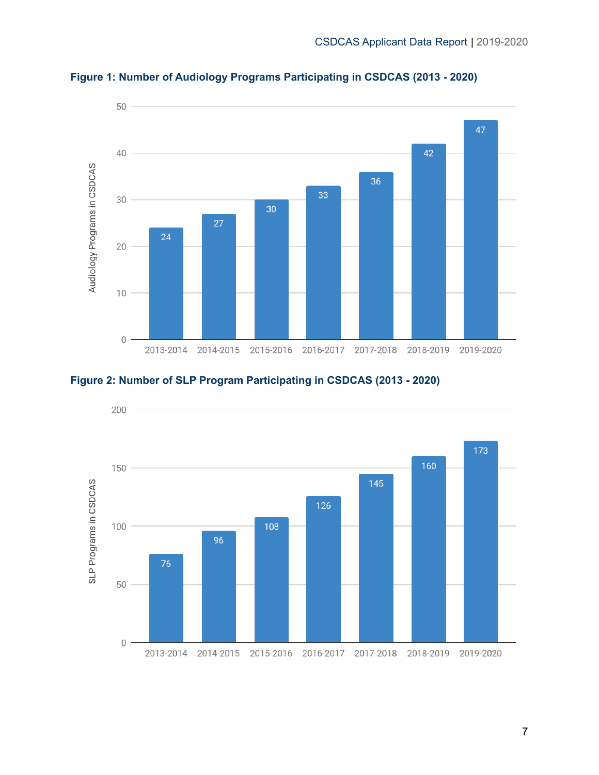

<span id="page-7-0"></span>**Figure 1: Number of Audiology Programs Participating in CSDCAS (2013 - 2020)**

<span id="page-7-1"></span>

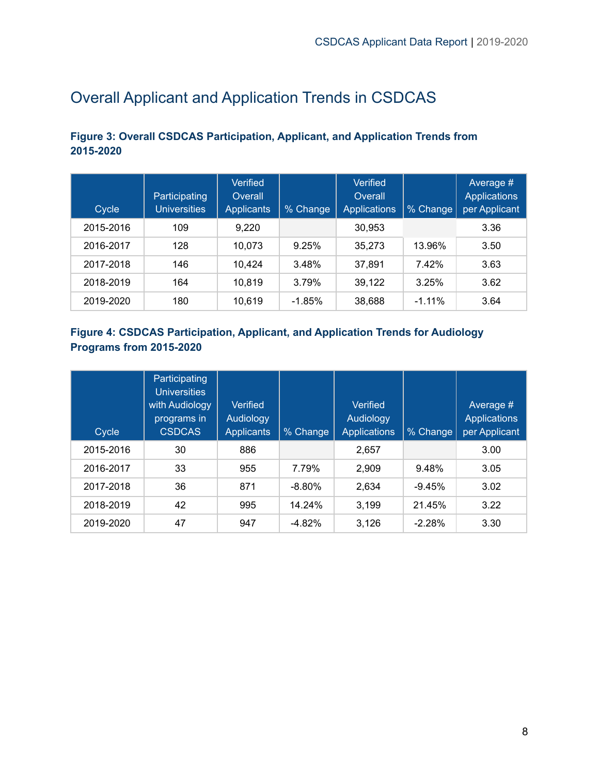# <span id="page-8-0"></span>Overall Applicant and Application Trends in CSDCAS

### <span id="page-8-1"></span>**Figure 3: Overall CSDCAS Participation, Applicant, and Application Trends from 2015-2020**

| Cycle     | Participating<br><b>Universities</b> | Verified<br>Overall<br><b>Applicants</b> | % Change | Verified<br>Overall<br><b>Applications</b> | % Change  | Average #<br><b>Applications</b><br>per Applicant |
|-----------|--------------------------------------|------------------------------------------|----------|--------------------------------------------|-----------|---------------------------------------------------|
| 2015-2016 | 109                                  | 9.220                                    |          | 30,953                                     |           | 3.36                                              |
| 2016-2017 | 128                                  | 10,073                                   | 9.25%    | 35,273                                     | 13.96%    | 3.50                                              |
| 2017-2018 | 146                                  | 10.424                                   | 3.48%    | 37.891                                     | 7.42%     | 3.63                                              |
| 2018-2019 | 164                                  | 10.819                                   | 3.79%    | 39.122                                     | 3.25%     | 3.62                                              |
| 2019-2020 | 180                                  | 10.619                                   | $-1.85%$ | 38,688                                     | $-1.11\%$ | 3.64                                              |

### <span id="page-8-2"></span>**Figure 4: CSDCAS Participation, Applicant, and Application Trends for Audiology Programs from 2015-2020**

| Cycle     | Participating<br><b>Universities</b><br>with Audiology<br>programs in<br><b>CSDCAS</b> | <b>Verified</b><br>Audiology<br><b>Applicants</b> | % Change | Verified<br>Audiology<br><b>Applications</b> | % Change | Average #<br><b>Applications</b><br>per Applicant |
|-----------|----------------------------------------------------------------------------------------|---------------------------------------------------|----------|----------------------------------------------|----------|---------------------------------------------------|
| 2015-2016 | 30                                                                                     | 886                                               |          | 2,657                                        |          | 3.00                                              |
| 2016-2017 | 33                                                                                     | 955                                               | 7.79%    | 2,909                                        | 9.48%    | 3.05                                              |
| 2017-2018 | 36                                                                                     | 871                                               | $-8.80%$ | 2,634                                        | $-9.45%$ | 3.02                                              |
| 2018-2019 | 42                                                                                     | 995                                               | 14.24%   | 3,199                                        | 21.45%   | 3.22                                              |
| 2019-2020 | 47                                                                                     | 947                                               | $-4.82%$ | 3,126                                        | $-2.28%$ | 3.30                                              |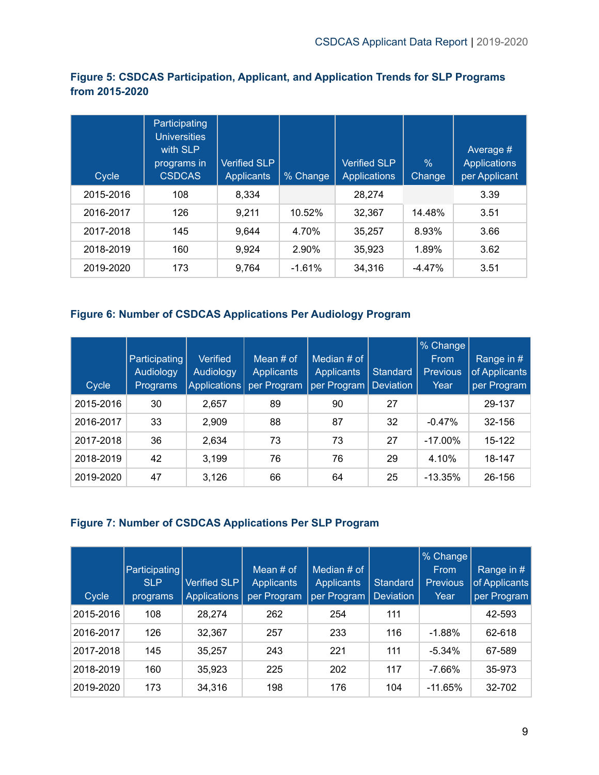### <span id="page-9-0"></span>**Figure 5: CSDCAS Participation, Applicant, and Application Trends for SLP Programs from 2015-2020**

| Cycle     | Participating<br><b>Universities</b><br>with SLP<br>programs in<br><b>CSDCAS</b> | <b>Verified SLP</b><br><b>Applicants</b> | % Change | <b>Verified SLP</b><br><b>Applications</b> | $\%$<br>Change | Average #<br><b>Applications</b><br>per Applicant |
|-----------|----------------------------------------------------------------------------------|------------------------------------------|----------|--------------------------------------------|----------------|---------------------------------------------------|
| 2015-2016 | 108                                                                              | 8,334                                    |          | 28,274                                     |                | 3.39                                              |
| 2016-2017 | 126                                                                              | 9.211                                    | 10.52%   | 32.367                                     | 14.48%         | 3.51                                              |
| 2017-2018 | 145                                                                              | 9.644                                    | 4.70%    | 35.257                                     | 8.93%          | 3.66                                              |
| 2018-2019 | 160                                                                              | 9,924                                    | 2.90%    | 35,923                                     | 1.89%          | 3.62                                              |
| 2019-2020 | 173                                                                              | 9,764                                    | $-1.61%$ | 34,316                                     | $-4.47%$       | 3.51                                              |

### <span id="page-9-1"></span>**Figure 6: Number of CSDCAS Applications Per Audiology Program**

| Cycle     | Participating<br><b>Audiology</b><br><b>Programs</b> | Verified<br>Audiology<br>Applications | Mean $#$ of<br><b>Applicants</b><br>per Program | Median $#$ of<br><b>Applicants</b><br>per Program | Standard<br><b>Deviation</b> | % Change<br>From<br><b>Previous</b><br>Year | Range in #<br>of Applicants<br>per Program |
|-----------|------------------------------------------------------|---------------------------------------|-------------------------------------------------|---------------------------------------------------|------------------------------|---------------------------------------------|--------------------------------------------|
| 2015-2016 | 30                                                   | 2,657                                 | 89                                              | 90                                                | 27                           |                                             | 29-137                                     |
| 2016-2017 | 33                                                   | 2,909                                 | 88                                              | 87                                                | 32                           | $-0.47%$                                    | 32-156                                     |
| 2017-2018 | 36                                                   | 2,634                                 | 73                                              | 73                                                | 27                           | $-17.00\%$                                  | 15-122                                     |
| 2018-2019 | 42                                                   | 3,199                                 | 76                                              | 76                                                | 29                           | 4.10%                                       | 18-147                                     |
| 2019-2020 | 47                                                   | 3,126                                 | 66                                              | 64                                                | 25                           | $-13.35\%$                                  | 26-156                                     |

#### <span id="page-9-2"></span>**Figure 7: Number of CSDCAS Applications Per SLP Program**

| Cycle     | Participating<br><b>SLP</b><br>programs | Verified SLP<br>Applications | Mean $#$ of<br><b>Applicants</b><br>per Program | Median # of<br><b>Applicants</b><br>per Program | <b>Standard</b><br><b>Deviation</b> | % Change<br>From<br><b>Previous</b><br>Year | Range in #<br>of Applicants<br>per Program |
|-----------|-----------------------------------------|------------------------------|-------------------------------------------------|-------------------------------------------------|-------------------------------------|---------------------------------------------|--------------------------------------------|
| 2015-2016 | 108                                     | 28,274                       | 262                                             | 254                                             | 111                                 |                                             | 42-593                                     |
| 2016-2017 | 126                                     | 32,367                       | 257                                             | 233                                             | 116                                 | $-1.88%$                                    | 62-618                                     |
| 2017-2018 | 145                                     | 35,257                       | 243                                             | 221                                             | 111                                 | $-5.34%$                                    | 67-589                                     |
| 2018-2019 | 160                                     | 35,923                       | 225                                             | 202                                             | 117                                 | $-7.66%$                                    | 35-973                                     |
| 2019-2020 | 173                                     | 34,316                       | 198                                             | 176                                             | 104                                 | $-11.65%$                                   | 32-702                                     |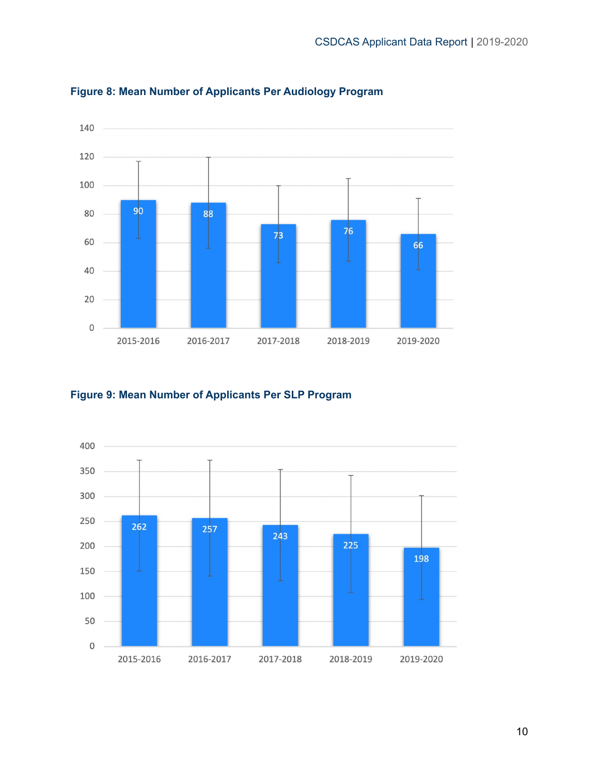

<span id="page-10-0"></span>**Figure 8: Mean Number of Applicants Per Audiology Program**

### <span id="page-10-1"></span>**Figure 9: Mean Number of Applicants Per SLP Program**

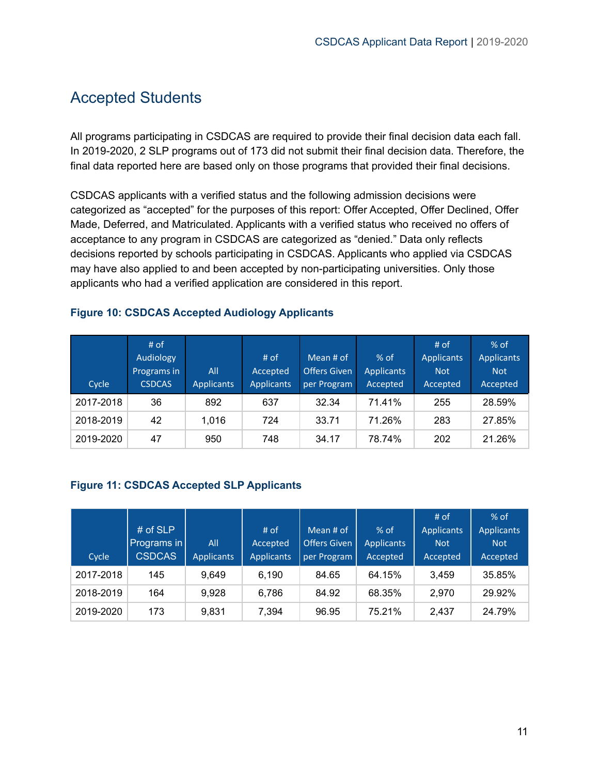### <span id="page-11-0"></span>Accepted Students

All programs participating in CSDCAS are required to provide their final decision data each fall. In 2019-2020, 2 SLP programs out of 173 did not submit their final decision data. Therefore, the final data reported here are based only on those programs that provided their final decisions.

CSDCAS applicants with a verified status and the following admission decisions were categorized as "accepted" for the purposes of this report: Offer Accepted, Offer Declined, Offer Made, Deferred, and Matriculated. Applicants with a verified status who received no offers of acceptance to any program in CSDCAS are categorized as "denied." Data only reflects decisions reported by schools participating in CSDCAS. Applicants who applied via CSDCAS may have also applied to and been accepted by non-participating universities. Only those applicants who had a verified application are considered in this report.

#### <span id="page-11-1"></span>**Figure 10: CSDCAS Accepted Audiology Applicants**

| Cycle     | # of<br>Audiology<br>Programs in<br><b>CSDCAS</b> | All<br><b>Applicants</b> | # of<br>Accepted<br><b>Applicants</b> | Mean $#$ of<br><b>Offers Given</b><br>per Program | $%$ of<br><b>Applicants</b><br>Accepted | $#$ of<br><b>Applicants</b><br><b>Not</b><br>Accepted | $%$ of<br><b>Applicants</b><br><b>Not</b><br>Accepted |
|-----------|---------------------------------------------------|--------------------------|---------------------------------------|---------------------------------------------------|-----------------------------------------|-------------------------------------------------------|-------------------------------------------------------|
| 2017-2018 | 36                                                | 892                      | 637                                   | 32.34                                             | 71.41%                                  | 255                                                   | 28.59%                                                |
| 2018-2019 | 42                                                | 1.016                    | 724                                   | 33.71                                             | 71.26%                                  | 283                                                   | 27.85%                                                |
| 2019-2020 | 47                                                | 950                      | 748                                   | 34.17                                             | 78.74%                                  | 202                                                   | 21.26%                                                |

### <span id="page-11-2"></span>**Figure 11: CSDCAS Accepted SLP Applicants**

| Cycle     | # of SLP<br>Programs in<br><b>CSDCAS</b> | All<br><b>Applicants</b> | $#$ of<br>Accepted<br><b>Applicants</b> | Mean # of<br><b>Offers Given</b><br>per Program | $%$ of<br><b>Applicants</b><br>Accepted | # of<br><b>Applicants</b><br><b>Not</b><br>Accepted | $%$ of<br><b>Applicants</b><br><b>Not</b><br>Accepted |
|-----------|------------------------------------------|--------------------------|-----------------------------------------|-------------------------------------------------|-----------------------------------------|-----------------------------------------------------|-------------------------------------------------------|
| 2017-2018 | 145                                      | 9.649                    | 6.190                                   | 84.65                                           | 64.15%                                  | 3.459                                               | 35.85%                                                |
| 2018-2019 | 164                                      | 9.928                    | 6,786                                   | 84.92                                           | 68.35%                                  | 2.970                                               | 29.92%                                                |
| 2019-2020 | 173                                      | 9.831                    | 7,394                                   | 96.95                                           | 75.21%                                  | 2.437                                               | 24.79%                                                |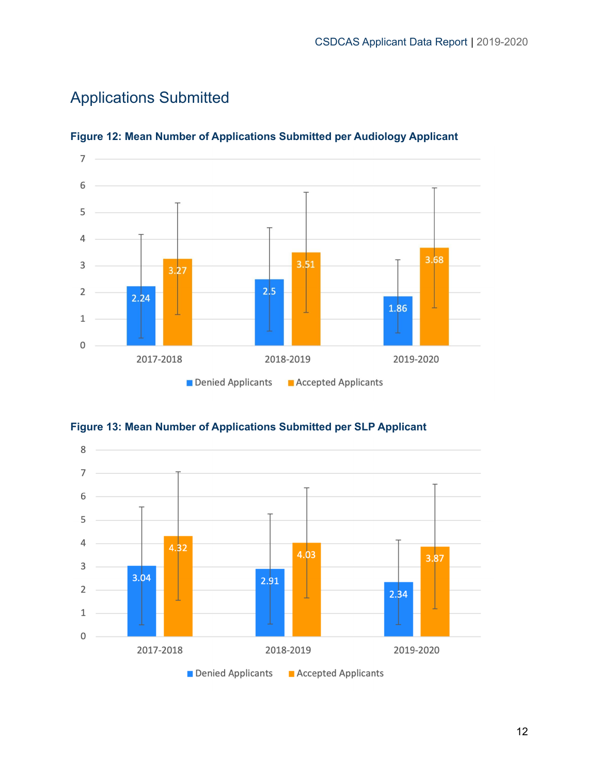

# <span id="page-12-0"></span>Applications Submitted



### <span id="page-12-1"></span>**Figure 12: Mean Number of Applications Submitted per Audiology Applicant**



<span id="page-12-2"></span>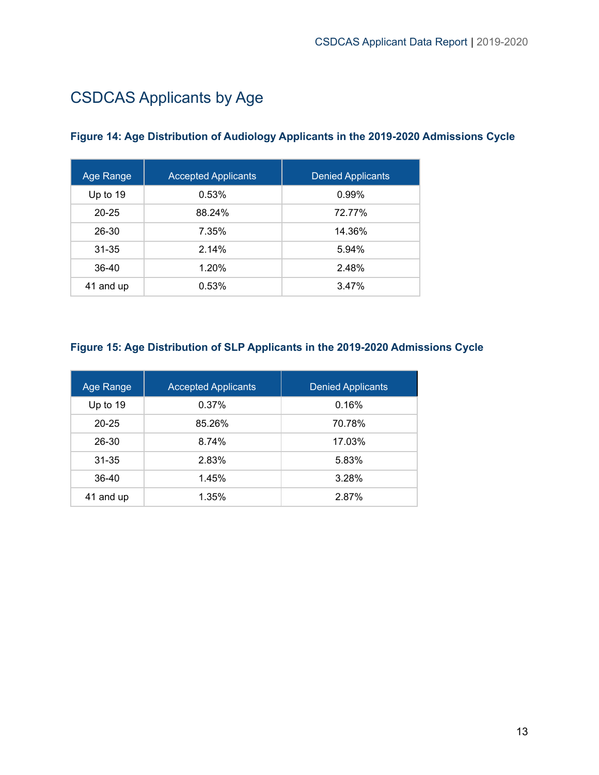# <span id="page-13-0"></span>CSDCAS Applicants by Age

### <span id="page-13-1"></span>**Figure 14: Age Distribution of Audiology Applicants in the 2019-2020 Admissions Cycle**

| Age Range | <b>Accepted Applicants</b> | <b>Denied Applicants</b> |
|-----------|----------------------------|--------------------------|
| Up to 19  | 0.53%                      | 0.99%                    |
| $20 - 25$ | 88.24%                     | 72.77%                   |
| 26-30     | 7.35%                      | 14.36%                   |
| $31 - 35$ | 2.14%                      | 5.94%                    |
| 36-40     | 1.20%                      | 2.48%                    |
| 41 and up | 0.53%                      | 3.47%                    |

### <span id="page-13-2"></span>**Figure 15: Age Distribution of SLP Applicants in the 2019-2020 Admissions Cycle**

| Age Range  | <b>Accepted Applicants</b> | <b>Denied Applicants</b> |  |
|------------|----------------------------|--------------------------|--|
| Up to $19$ | 0.37%                      | 0.16%                    |  |
| $20 - 25$  | 85.26%                     | 70.78%                   |  |
| 26-30      | 8.74%                      | 17.03%                   |  |
| $31 - 35$  | 2.83%                      | 5.83%                    |  |
| 36-40      | 1.45%                      | 3.28%                    |  |
| 41 and up  | 1.35%                      | 2.87%                    |  |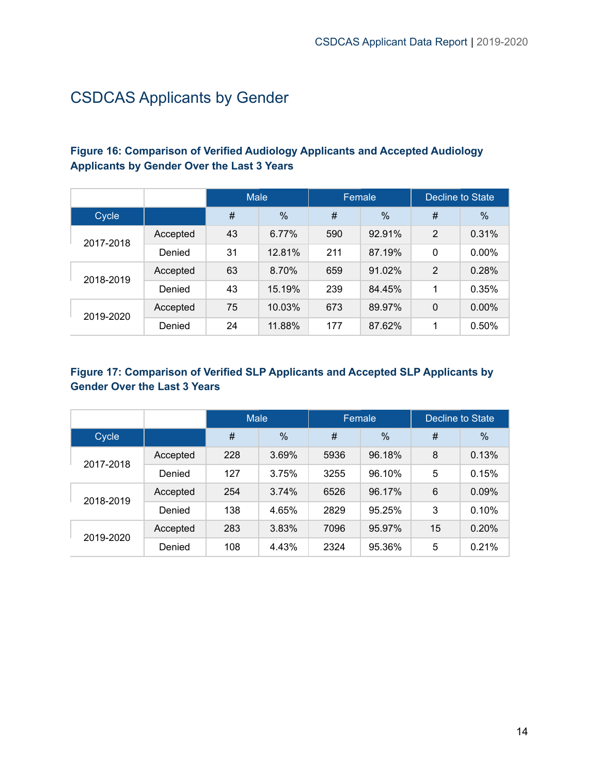# <span id="page-14-0"></span>CSDCAS Applicants by Gender

### <span id="page-14-1"></span>**Figure 16: Comparison of Verified Audiology Applicants and Accepted Audiology Applicants by Gender Over the Last 3 Years**

|           |          | <b>Male</b> |        | Female |        | Decline to State |               |
|-----------|----------|-------------|--------|--------|--------|------------------|---------------|
| Cycle     |          | #           | $\%$   | #      | $\%$   | #                | $\frac{0}{0}$ |
|           | Accepted | 43          | 6.77%  | 590    | 92.91% | $\overline{2}$   | 0.31%         |
| 2017-2018 | Denied   | 31          | 12.81% | 211    | 87.19% | 0                | $0.00\%$      |
| 2018-2019 | Accepted | 63          | 8.70%  | 659    | 91.02% | $\overline{2}$   | 0.28%         |
|           | Denied   | 43          | 15.19% | 239    | 84.45% | 1                | 0.35%         |
| 2019-2020 | Accepted | 75          | 10.03% | 673    | 89.97% | 0                | $0.00\%$      |
|           | Denied   | 24          | 11.88% | 177    | 87.62% | 1                | 0.50%         |

### <span id="page-14-2"></span>**Figure 17: Comparison of Verified SLP Applicants and Accepted SLP Applicants by Gender Over the Last 3 Years**

|           |          | <b>Male</b> |               | Female |               | Decline to State |       |
|-----------|----------|-------------|---------------|--------|---------------|------------------|-------|
| Cycle     |          | #           | $\frac{0}{0}$ | #      | $\frac{0}{0}$ | #                | $\%$  |
| 2017-2018 | Accepted | 228         | 3.69%         | 5936   | 96.18%        | 8                | 0.13% |
|           | Denied   | 127         | 3.75%         | 3255   | 96.10%        | 5                | 0.15% |
| 2018-2019 | Accepted | 254         | 3.74%         | 6526   | 96.17%        | 6                | 0.09% |
|           | Denied   | 138         | 4.65%         | 2829   | 95.25%        | 3                | 0.10% |
| 2019-2020 | Accepted | 283         | 3.83%         | 7096   | 95.97%        | 15               | 0.20% |
|           | Denied   | 108         | 4.43%         | 2324   | 95.36%        | 5                | 0.21% |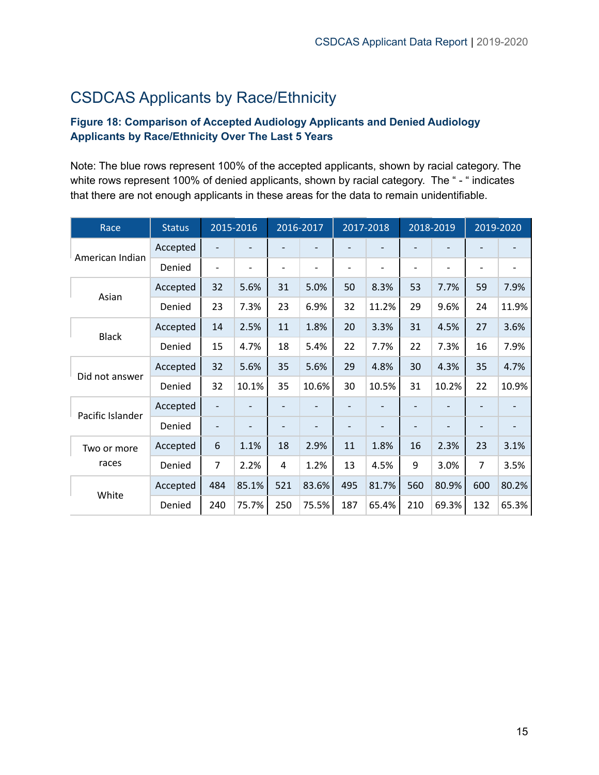# <span id="page-15-0"></span>CSDCAS Applicants by Race/Ethnicity

### <span id="page-15-1"></span>**Figure 18: Comparison of Accepted Audiology Applicants and Denied Audiology Applicants by Race/Ethnicity Over The Last 5 Years**

Note: The blue rows represent 100% of the accepted applicants, shown by racial category. The white rows represent 100% of denied applicants, shown by racial category. The "- " indicates that there are not enough applicants in these areas for the data to remain unidentifiable.

| Race             | <b>Status</b> |     | 2015-2016 |     | 2016-2017 |     | 2017-2018 |     | 2018-2019 |     | 2019-2020 |
|------------------|---------------|-----|-----------|-----|-----------|-----|-----------|-----|-----------|-----|-----------|
| American Indian  | Accepted      |     |           |     |           | -   |           |     |           |     |           |
|                  | Denied        |     | -         | ٠   |           | -   | ۰         |     | -         | ۰   |           |
| Asian            | Accepted      | 32  | 5.6%      | 31  | 5.0%      | 50  | 8.3%      | 53  | 7.7%      | 59  | 7.9%      |
|                  | Denied        | 23  | 7.3%      | 23  | 6.9%      | 32  | 11.2%     | 29  | 9.6%      | 24  | 11.9%     |
| <b>Black</b>     | Accepted      | 14  | 2.5%      | 11  | 1.8%      | 20  | 3.3%      | 31  | 4.5%      | 27  | 3.6%      |
|                  | Denied        | 15  | 4.7%      | 18  | 5.4%      | 22  | 7.7%      | 22  | 7.3%      | 16  | 7.9%      |
| Did not answer   | Accepted      | 32  | 5.6%      | 35  | 5.6%      | 29  | 4.8%      | 30  | 4.3%      | 35  | 4.7%      |
|                  | Denied        | 32  | 10.1%     | 35  | 10.6%     | 30  | 10.5%     | 31  | 10.2%     | 22  | 10.9%     |
| Pacific Islander | Accepted      |     |           |     |           |     |           |     |           |     |           |
|                  | Denied        |     |           |     |           |     |           |     |           |     |           |
| Two or more      | Accepted      | 6   | 1.1%      | 18  | 2.9%      | 11  | 1.8%      | 16  | 2.3%      | 23  | 3.1%      |
| races            | Denied        | 7   | 2.2%      | 4   | 1.2%      | 13  | 4.5%      | 9   | 3.0%      | 7   | 3.5%      |
| White            | Accepted      | 484 | 85.1%     | 521 | 83.6%     | 495 | 81.7%     | 560 | 80.9%     | 600 | 80.2%     |
|                  | Denied        | 240 | 75.7%     | 250 | 75.5%     | 187 | 65.4%     | 210 | 69.3%     | 132 | 65.3%     |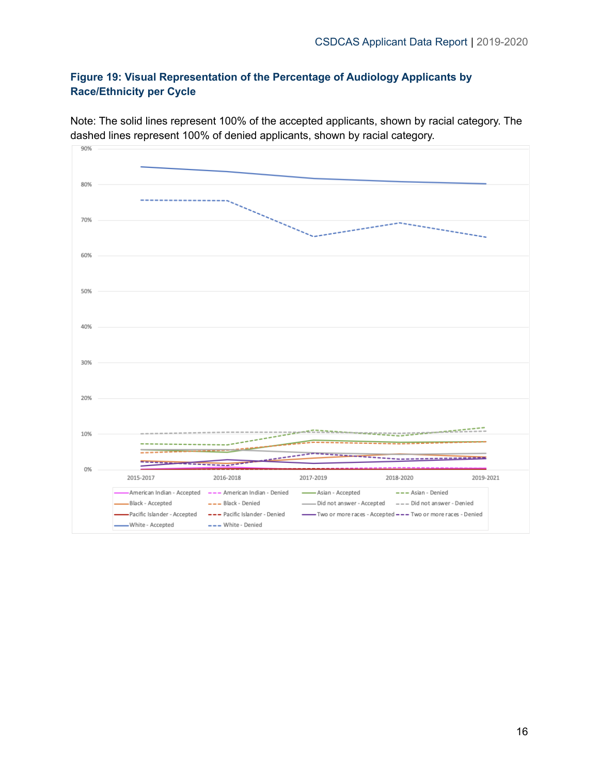### <span id="page-16-0"></span>**Figure 19: Visual Representation of the Percentage of Audiology Applicants by Race/Ethnicity per Cycle**



Note: The solid lines represent 100% of the accepted applicants, shown by racial category. The dashed lines represent 100% of denied applicants, shown by racial category.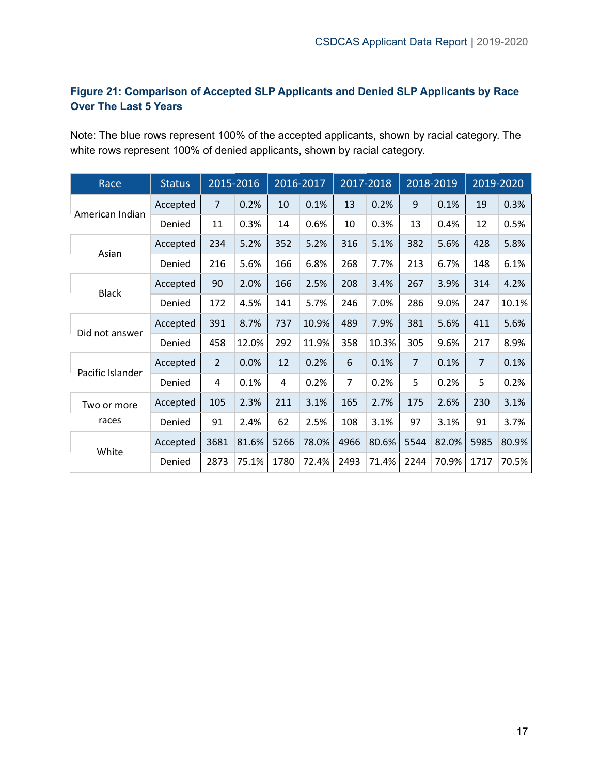### <span id="page-17-0"></span>**Figure 21: Comparison of Accepted SLP Applicants and Denied SLP Applicants by Race Over The Last 5 Years**

Note: The blue rows represent 100% of the accepted applicants, shown by racial category. The white rows represent 100% of denied applicants, shown by racial category.

| Race             | <b>Status</b> |                | 2015-2016 |      | 2016-2017 |                | 2017-2018 |      | 2018-2019 |                | 2019-2020 |
|------------------|---------------|----------------|-----------|------|-----------|----------------|-----------|------|-----------|----------------|-----------|
| American Indian  | Accepted      | $\overline{7}$ | 0.2%      | 10   | 0.1%      | 13             | 0.2%      | 9    | 0.1%      | 19             | 0.3%      |
|                  | Denied        | 11             | 0.3%      | 14   | 0.6%      | 10             | 0.3%      | 13   | 0.4%      | 12             | 0.5%      |
| Asian            | Accepted      | 234            | 5.2%      | 352  | 5.2%      | 316            | 5.1%      | 382  | 5.6%      | 428            | 5.8%      |
|                  | Denied        | 216            | 5.6%      | 166  | 6.8%      | 268            | 7.7%      | 213  | 6.7%      | 148            | 6.1%      |
| <b>Black</b>     | Accepted      | 90             | 2.0%      | 166  | 2.5%      | 208            | 3.4%      | 267  | 3.9%      | 314            | 4.2%      |
|                  | Denied        | 172            | 4.5%      | 141  | 5.7%      | 246            | 7.0%      | 286  | 9.0%      | 247            | 10.1%     |
| Did not answer   | Accepted      | 391            | 8.7%      | 737  | 10.9%     | 489            | 7.9%      | 381  | 5.6%      | 411            | 5.6%      |
|                  | Denied        | 458            | 12.0%     | 292  | 11.9%     | 358            | 10.3%     | 305  | 9.6%      | 217            | 8.9%      |
| Pacific Islander | Accepted      | $\overline{2}$ | 0.0%      | 12   | 0.2%      | 6              | 0.1%      | 7    | 0.1%      | $\overline{7}$ | 0.1%      |
|                  | Denied        | 4              | 0.1%      | 4    | 0.2%      | $\overline{7}$ | 0.2%      | 5    | 0.2%      | 5              | 0.2%      |
| Two or more      | Accepted      | 105            | 2.3%      | 211  | 3.1%      | 165            | 2.7%      | 175  | 2.6%      | 230            | 3.1%      |
| races            | Denied        | 91             | 2.4%      | 62   | 2.5%      | 108            | 3.1%      | 97   | 3.1%      | 91             | 3.7%      |
| White            | Accepted      | 3681           | 81.6%     | 5266 | 78.0%     | 4966           | 80.6%     | 5544 | 82.0%     | 5985           | 80.9%     |
|                  | Denied        | 2873           | 75.1%     | 1780 | 72.4%     | 2493           | 71.4%     | 2244 | 70.9%     | 1717           | 70.5%     |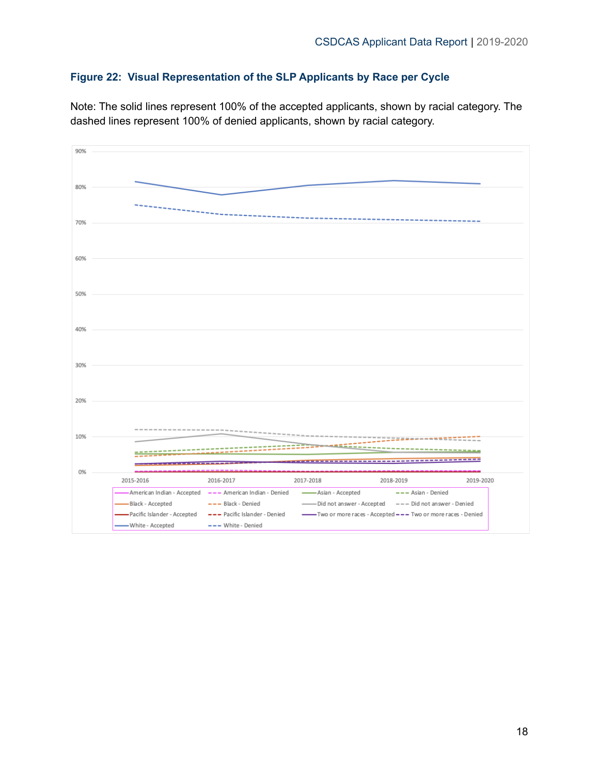### <span id="page-18-0"></span>**Figure 22: Visual Representation of the SLP Applicants by Race per Cycle**

Note: The solid lines represent 100% of the accepted applicants, shown by racial category. The dashed lines represent 100% of denied applicants, shown by racial category.

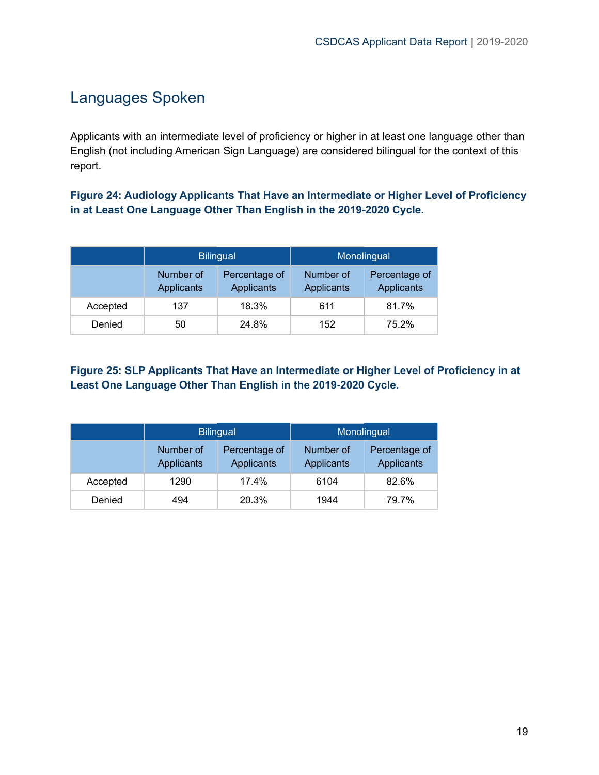### <span id="page-19-0"></span>Languages Spoken

Applicants with an intermediate level of proficiency or higher in at least one language other than English (not including American Sign Language) are considered bilingual for the context of this report.

<span id="page-19-1"></span>**Figure 24: Audiology Applicants That Have an Intermediate or Higher Level of Proficiency in at Least One Language Other Than English in the 2019-2020 Cycle.**

|          |                                | <b>Bilingual</b>                   | Monolingual             |                                    |  |  |
|----------|--------------------------------|------------------------------------|-------------------------|------------------------------------|--|--|
|          | Number of<br><b>Applicants</b> | Percentage of<br><b>Applicants</b> | Number of<br>Applicants | Percentage of<br><b>Applicants</b> |  |  |
| Accepted | 137                            | 18.3%                              | 611                     | 81.7%                              |  |  |
| Denied   | 50                             | 24.8%                              | 152                     | 75.2%                              |  |  |

### <span id="page-19-2"></span>**Figure 25: SLP Applicants That Have an Intermediate or Higher Level of Proficiency in at Least One Language Other Than English in the 2019-2020 Cycle.**

|          |                                | <b>Bilingual</b>            | Monolingual             |                             |  |
|----------|--------------------------------|-----------------------------|-------------------------|-----------------------------|--|
|          | Number of<br><b>Applicants</b> | Percentage of<br>Applicants | Number of<br>Applicants | Percentage of<br>Applicants |  |
| Accepted | 1290                           | 17.4%                       | 6104                    | 82.6%                       |  |
| Denied   | 494                            | 20.3%                       | 1944                    | 79.7%                       |  |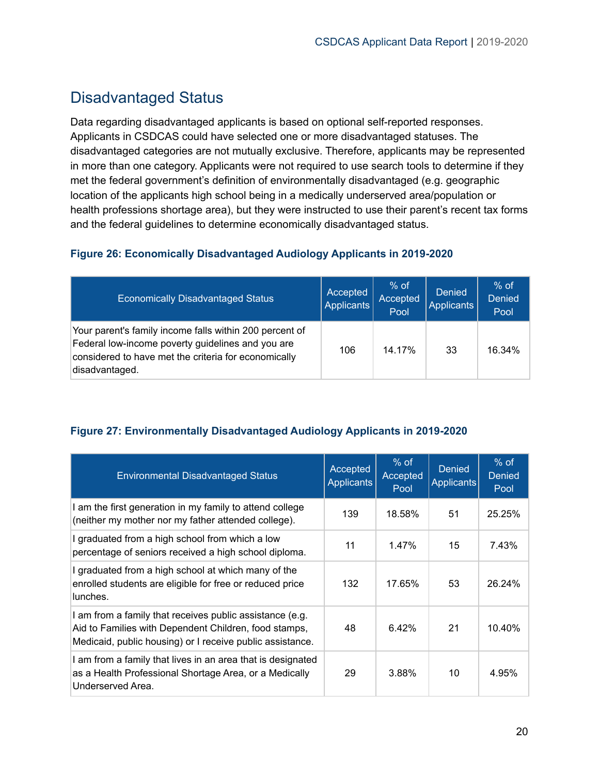### <span id="page-20-0"></span>Disadvantaged Status

Data regarding disadvantaged applicants is based on optional self-reported responses. Applicants in CSDCAS could have selected one or more disadvantaged statuses. The disadvantaged categories are not mutually exclusive. Therefore, applicants may be represented in more than one category. Applicants were not required to use search tools to determine if they met the federal government's definition of environmentally disadvantaged (e.g. geographic location of the applicants high school being in a medically underserved area/population or health professions shortage area), but they were instructed to use their parent's recent tax forms and the federal guidelines to determine economically disadvantaged status.

### <span id="page-20-1"></span>**Figure 26: Economically Disadvantaged Audiology Applicants in 2019-2020**

| <b>Economically Disadvantaged Status</b>                                                                                                                                               | Accepted<br>Applicants | $%$ of<br>Accepted<br>Pool | <b>Denied</b><br><b>Applicants</b> | $%$ of<br><b>Denied</b><br>Pool |
|----------------------------------------------------------------------------------------------------------------------------------------------------------------------------------------|------------------------|----------------------------|------------------------------------|---------------------------------|
| Your parent's family income falls within 200 percent of<br>Federal low-income poverty guidelines and you are<br>considered to have met the criteria for economically<br>disadvantaged. | 106                    | 14.17%                     | 33                                 | 16.34%                          |

### <span id="page-20-2"></span>**Figure 27: Environmentally Disadvantaged Audiology Applicants in 2019-2020**

| <b>Environmental Disadvantaged Status</b>                                                                                                                                      | Accepted<br><b>Applicants</b> | $%$ of<br>Accepted<br>Pool | <b>Denied</b><br><b>Applicants</b> | $%$ of<br><b>Denied</b><br>Pool |
|--------------------------------------------------------------------------------------------------------------------------------------------------------------------------------|-------------------------------|----------------------------|------------------------------------|---------------------------------|
| I am the first generation in my family to attend college<br>(neither my mother nor my father attended college).                                                                | 139                           | 18.58%                     | 51                                 | 25.25%                          |
| I graduated from a high school from which a low<br>percentage of seniors received a high school diploma.                                                                       | 11                            | 1.47%                      | 15                                 | 7.43%                           |
| I graduated from a high school at which many of the<br>enrolled students are eligible for free or reduced price<br>lunches.                                                    | 132                           | 17.65%                     | 53                                 | 26.24%                          |
| I am from a family that receives public assistance (e.g.<br>Aid to Families with Dependent Children, food stamps,<br>Medicaid, public housing) or I receive public assistance. | 48                            | 6.42%                      | 21                                 | 10.40%                          |
| I am from a family that lives in an area that is designated<br>as a Health Professional Shortage Area, or a Medically<br>Underserved Area.                                     | 29                            | 3.88%                      | 10                                 | 4.95%                           |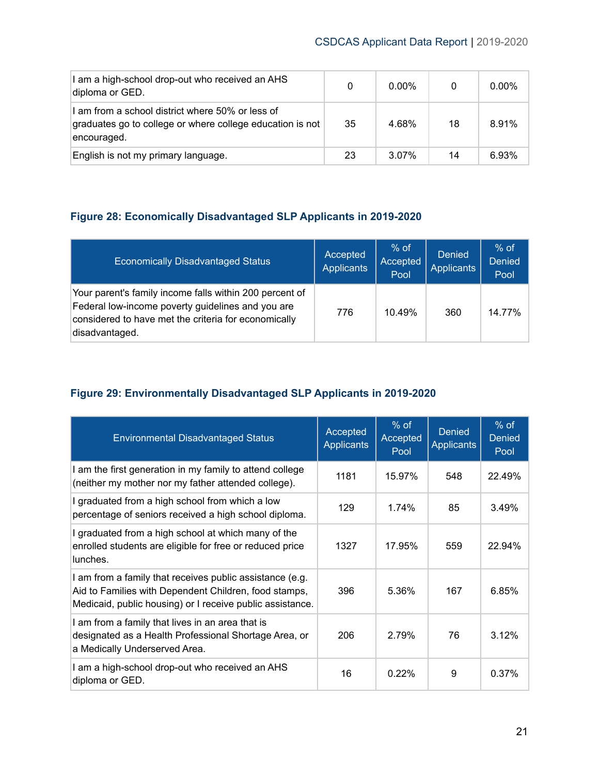| I am a high-school drop-out who received an AHS<br>diploma or GED.                                                           | 0  | $0.00\%$ | 0  | $0.00\%$ |
|------------------------------------------------------------------------------------------------------------------------------|----|----------|----|----------|
| I am from a school district where 50% or less of<br>graduates go to college or where college education is not<br>encouraged. | 35 | 4.68%    | 18 | 8.91%    |
| English is not my primary language.                                                                                          | 23 | 3.07%    | 14 | 6.93%    |

### <span id="page-21-0"></span>**Figure 28: Economically Disadvantaged SLP Applicants in 2019-2020**

| <b>Economically Disadvantaged Status</b>                                                                                                                                               | Accepted<br><b>Applicants</b> | $%$ of<br>Accepted<br>Pool | Denied<br><b>Applicants</b> | $%$ of<br><b>Denied</b><br>Pool |
|----------------------------------------------------------------------------------------------------------------------------------------------------------------------------------------|-------------------------------|----------------------------|-----------------------------|---------------------------------|
| Your parent's family income falls within 200 percent of<br>Federal low-income poverty guidelines and you are<br>considered to have met the criteria for economically<br>disadvantaged. | 776                           | 10.49%                     | 360                         | 14.77%                          |

### <span id="page-21-1"></span>**Figure 29: Environmentally Disadvantaged SLP Applicants in 2019-2020**

| <b>Environmental Disadvantaged Status</b>                                                                                                                                      | Accepted<br><b>Applicants</b> | $%$ of<br>Accepted<br>Pool | <b>Denied</b><br><b>Applicants</b> | $%$ of<br><b>Denied</b><br>Pool |
|--------------------------------------------------------------------------------------------------------------------------------------------------------------------------------|-------------------------------|----------------------------|------------------------------------|---------------------------------|
| I am the first generation in my family to attend college<br>(neither my mother nor my father attended college).                                                                | 1181                          | 15.97%                     | 548                                | 22.49%                          |
| I graduated from a high school from which a low<br>percentage of seniors received a high school diploma.                                                                       | 129                           | $1.74\%$                   | 85                                 | 3.49%                           |
| I graduated from a high school at which many of the<br>enrolled students are eligible for free or reduced price<br>lunches.                                                    | 1327                          | 17.95%                     | 559                                | 22.94%                          |
| I am from a family that receives public assistance (e.g.<br>Aid to Families with Dependent Children, food stamps,<br>Medicaid, public housing) or I receive public assistance. | 396                           | 5.36%                      | 167                                | 6.85%                           |
| I am from a family that lives in an area that is<br>designated as a Health Professional Shortage Area, or<br>a Medically Underserved Area.                                     | 206                           | 2.79%                      | 76                                 | 3.12%                           |
| I am a high-school drop-out who received an AHS<br>diploma or GED.                                                                                                             | 16                            | 0.22%                      | 9                                  | 0.37%                           |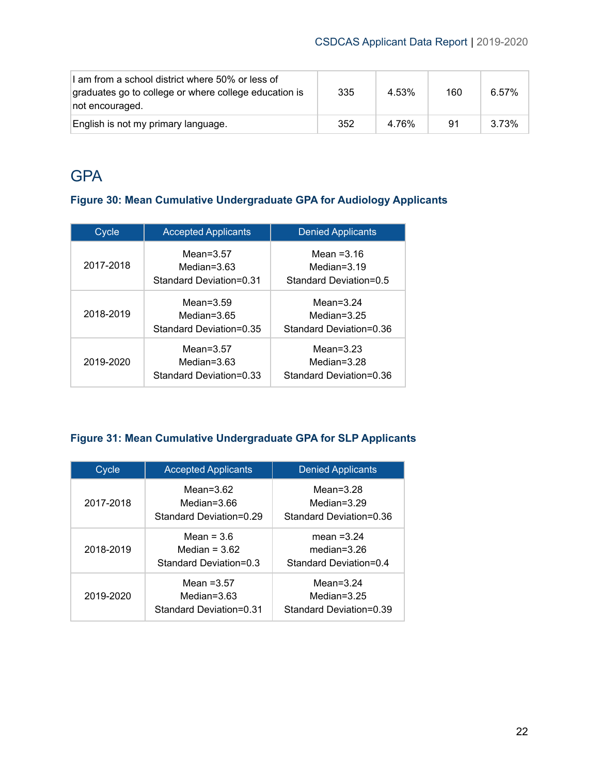| I am from a school district where 50% or less of<br>graduates go to college or where college education is<br>not encouraged. | 335 | 4.53% | 160 | 6.57% |
|------------------------------------------------------------------------------------------------------------------------------|-----|-------|-----|-------|
| English is not my primary language.                                                                                          | 352 | 4.76% | 91  | 3.73% |

# <span id="page-22-0"></span>**GPA**

### <span id="page-22-1"></span>**Figure 30: Mean Cumulative Undergraduate GPA for Audiology Applicants**

| Cycle     | <b>Accepted Applicants</b>                                | <b>Denied Applicants</b>                                  |
|-----------|-----------------------------------------------------------|-----------------------------------------------------------|
| 2017-2018 | Mean= $3.57$<br>Median= $3.63$<br>Standard Deviation=0.31 | Mean $=3.16$<br>Median= $3.19$<br>Standard Deviation=0.5  |
| 2018-2019 | Mean= $3.59$<br>Median= $3.65$<br>Standard Deviation=0.35 | Mean= $3.24$<br>Median= $3.25$<br>Standard Deviation=0.36 |
| 2019-2020 | Mean= $3.57$<br>Median= $3.63$<br>Standard Deviation=0.33 | Mean= $3.23$<br>Median=3.28<br>Standard Deviation=0.36    |

### <span id="page-22-2"></span>**Figure 31: Mean Cumulative Undergraduate GPA for SLP Applicants**

| Cycle     | <b>Accepted Applicants</b>                                | <b>Denied Applicants</b>                                  |  |  |
|-----------|-----------------------------------------------------------|-----------------------------------------------------------|--|--|
| 2017-2018 | Mean= $3.62$<br>Median=3.66<br>Standard Deviation=0.29    | Mean= $3.28$<br>Median= $3.29$<br>Standard Deviation=0.36 |  |  |
| 2018-2019 | Mean = $3.6$<br>Median = $3.62$<br>Standard Deviation=0.3 | mean $=3.24$<br>median= $3.26$<br>Standard Deviation=0.4  |  |  |
| 2019-2020 | Mean $=3.57$<br>Median= $3.63$<br>Standard Deviation=0.31 | Mean= $3.24$<br>Median= $3.25$<br>Standard Deviation=0.39 |  |  |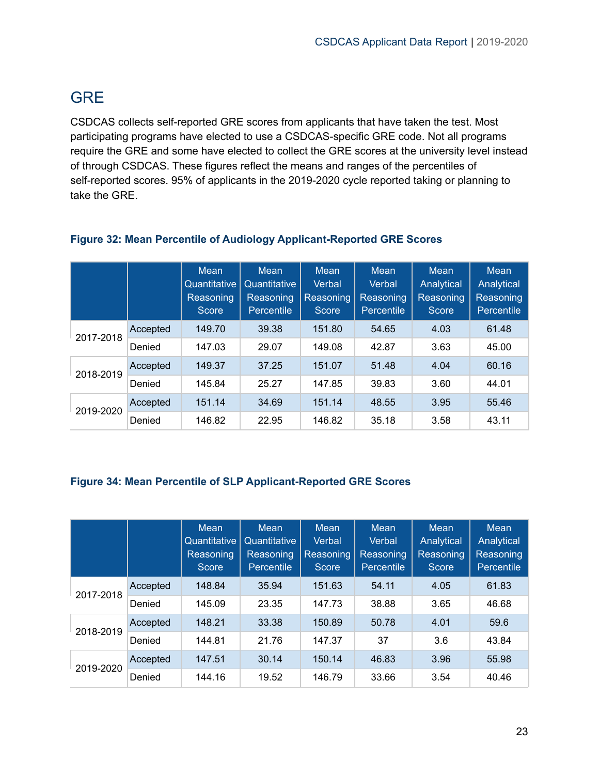# <span id="page-23-0"></span>**GRE**

CSDCAS collects self-reported GRE scores from applicants that have taken the test. Most participating programs have elected to use a CSDCAS-specific GRE code. Not all programs require the GRE and some have elected to collect the GRE scores at the university level instead of through CSDCAS. These figures reflect the means and ranges of the percentiles of self-reported scores. 95% of applicants in the 2019-2020 cycle reported taking or planning to take the GRE.

|           |          | <b>Mean</b><br>Quantitative<br><b>Reasoning</b><br><b>Score</b> | <b>Mean</b><br>Quantitative<br>Reasoning<br>Percentile | <b>Mean</b><br>Verbal<br>Reasoning<br>Score | <b>Mean</b><br>Verbal<br>Reasoning<br><b>Percentile</b> | <b>Mean</b><br>Analytical<br>Reasoning<br>Score | Mean<br>Analytical<br>Reasoning<br><b>Percentile</b> |
|-----------|----------|-----------------------------------------------------------------|--------------------------------------------------------|---------------------------------------------|---------------------------------------------------------|-------------------------------------------------|------------------------------------------------------|
| 2017-2018 | Accepted | 149.70                                                          | 39.38                                                  | 151.80                                      | 54.65                                                   | 4.03                                            | 61.48                                                |
|           | Denied   | 147.03                                                          | 29.07                                                  | 149.08                                      | 42.87                                                   | 3.63                                            | 45.00                                                |
| 2018-2019 | Accepted | 149.37                                                          | 37.25                                                  | 151.07                                      | 51.48                                                   | 4.04                                            | 60.16                                                |
|           | Denied   | 145.84                                                          | 25.27                                                  | 147.85                                      | 39.83                                                   | 3.60                                            | 44.01                                                |
| 2019-2020 | Accepted | 151.14                                                          | 34.69                                                  | 151.14                                      | 48.55                                                   | 3.95                                            | 55.46                                                |
|           | Denied   | 146.82                                                          | 22.95                                                  | 146.82                                      | 35.18                                                   | 3.58                                            | 43.11                                                |

### <span id="page-23-1"></span>**Figure 32: Mean Percentile of Audiology Applicant-Reported GRE Scores**

### <span id="page-23-2"></span>**Figure 34: Mean Percentile of SLP Applicant-Reported GRE Scores**

|           |          | Mean<br>Quantitative<br>Reasoning<br>Score | <b>Mean</b><br>Quantitative<br>Reasoning<br>Percentile | <b>Mean</b><br>Verbal<br>Reasoning<br>Score | Mean<br>Verbal<br>Reasoning<br>Percentile | Mean<br>Analytical<br>Reasoning<br><b>Score</b> | Mean<br>Analytical<br>Reasoning<br>Percentile |
|-----------|----------|--------------------------------------------|--------------------------------------------------------|---------------------------------------------|-------------------------------------------|-------------------------------------------------|-----------------------------------------------|
| 2017-2018 | Accepted | 148.84                                     | 35.94                                                  | 151.63                                      | 54.11                                     | 4.05                                            | 61.83                                         |
|           | Denied   | 145.09                                     | 23.35                                                  | 147.73                                      | 38.88                                     | 3.65                                            | 46.68                                         |
| 2018-2019 | Accepted | 148.21                                     | 33.38                                                  | 150.89                                      | 50.78                                     | 4.01                                            | 59.6                                          |
|           | Denied   | 144.81                                     | 21.76                                                  | 147.37                                      | 37                                        | 3.6                                             | 43.84                                         |
| 2019-2020 | Accepted | 147.51                                     | 30.14                                                  | 150.14                                      | 46.83                                     | 3.96                                            | 55.98                                         |
|           | Denied   | 144.16                                     | 19.52                                                  | 146.79                                      | 33.66                                     | 3.54                                            | 40.46                                         |